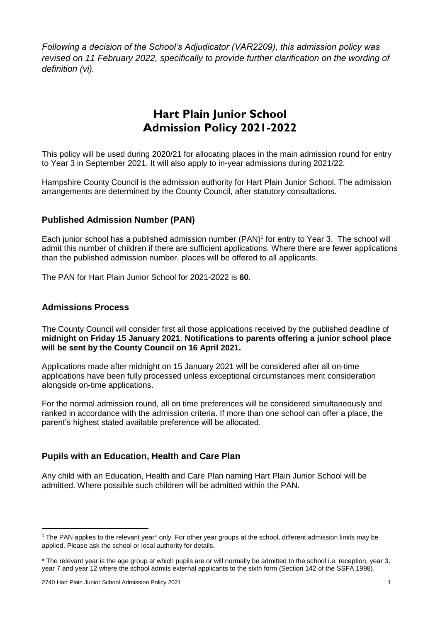*Following a decision of the School's Adjudicator (VAR2209), this admission policy was revised on 11 February 2022, specifically to provide further clarification on the wording of definition (vi).*

# **Hart Plain Junior School Admission Policy 2021-2022**

This policy will be used during 2020/21 for allocating places in the main admission round for entry to Year 3 in September 2021. It will also apply to in-year admissions during 2021/22.

Hampshire County Council is the admission authority for Hart Plain Junior School. The admission arrangements are determined by the County Council, after statutory consultations.

## **Published Admission Number (PAN)**

Each junior school has a published admission number (PAN) 1 for entry to Year 3. The school will admit this number of children if there are sufficient applications. Where there are fewer applications than the published admission number, places will be offered to all applicants.

The PAN for Hart Plain Junior School for 2021-2022 is **60**.

#### **Admissions Process**

The County Council will consider first all those applications received by the published deadline of **midnight on Friday 15 January 2021**. **Notifications to parents offering a junior school place will be sent by the County Council on 16 April 2021.**

Applications made after midnight on 15 January 2021 will be considered after all on-time applications have been fully processed unless exceptional circumstances merit consideration alongside on-time applications.

For the normal admission round, all on time preferences will be considered simultaneously and ranked in accordance with the admission criteria. If more than one school can offer a place, the parent's highest stated available preference will be allocated.

### **Pupils with an Education, Health and Care Plan**

Any child with an Education, Health and Care Plan naming Hart Plain Junior School will be admitted. Where possible such children will be admitted within the PAN.

**.** 

 $1$  The PAN applies to the relevant year\* only. For other year groups at the school, different admission limits may be applied. Please ask the school or local authority for details.

<sup>\*</sup> The relevant year is the age group at which pupils are or will normally be admitted to the school i.e. reception, year 3, year 7 and year 12 where the school admits external applicants to the sixth form (Section 142 of the SSFA 1998).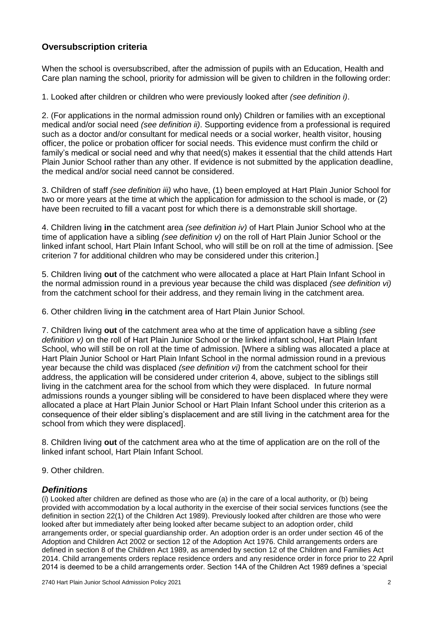## **Oversubscription criteria**

When the school is oversubscribed, after the admission of pupils with an Education, Health and Care plan naming the school, priority for admission will be given to children in the following order:

1. Looked after children or children who were previously looked after *(see definition i)*.

2. (For applications in the normal admission round only) Children or families with an exceptional medical and/or social need *(see definition ii)*. Supporting evidence from a professional is required such as a doctor and/or consultant for medical needs or a social worker, health visitor, housing officer, the police or probation officer for social needs. This evidence must confirm the child or family's medical or social need and why that need(s) makes it essential that the child attends Hart Plain Junior School rather than any other. If evidence is not submitted by the application deadline, the medical and/or social need cannot be considered.

3. Children of staff *(see definition iii)* who have, (1) been employed at Hart Plain Junior School for two or more years at the time at which the application for admission to the school is made, or (2) have been recruited to fill a vacant post for which there is a demonstrable skill shortage.

4. Children living **in** the catchment area *(see definition iv)* of Hart Plain Junior School who at the time of application have a sibling *(see definition v)* on the roll of Hart Plain Junior School or the linked infant school, Hart Plain Infant School, who will still be on roll at the time of admission. [See criterion 7 for additional children who may be considered under this criterion.]

5. Children living **out** of the catchment who were allocated a place at Hart Plain Infant School in the normal admission round in a previous year because the child was displaced *(see definition vi)*  from the catchment school for their address, and they remain living in the catchment area.

6. Other children living **in** the catchment area of Hart Plain Junior School.

7. Children living **out** of the catchment area who at the time of application have a sibling *(see definition v)* on the roll of Hart Plain Junior School or the linked infant school, Hart Plain Infant School, who will still be on roll at the time of admission. [Where a sibling was allocated a place at Hart Plain Junior School or Hart Plain Infant School in the normal admission round in a previous year because the child was displaced *(see definition vi)* from the catchment school for their address, the application will be considered under criterion 4, above, subject to the siblings still living in the catchment area for the school from which they were displaced. In future normal admissions rounds a younger sibling will be considered to have been displaced where they were allocated a place at Hart Plain Junior School or Hart Plain Infant School under this criterion as a consequence of their elder sibling's displacement and are still living in the catchment area for the school from which they were displaced].

8. Children living **out** of the catchment area who at the time of application are on the roll of the linked infant school, Hart Plain Infant School.

9. Other children.

#### *Definitions*

(i) Looked after children are defined as those who are (a) in the care of a local authority, or (b) being provided with accommodation by a local authority in the exercise of their social services functions (see the definition in section 22(1) of the Children Act 1989). Previously looked after children are those who were looked after but immediately after being looked after became subject to an adoption order, child arrangements order, or special guardianship order. An adoption order is an order under section 46 of the Adoption and Children Act 2002 or section 12 of the Adoption Act 1976. Child arrangements orders are defined in section 8 of the Children Act 1989, as amended by section 12 of the Children and Families Act 2014. Child arrangements orders replace residence orders and any residence order in force prior to 22 April 2014 is deemed to be a child arrangements order. Section 14A of the Children Act 1989 defines a 'special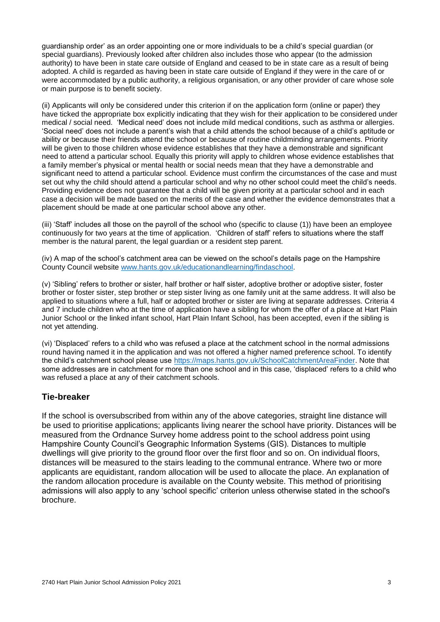guardianship order' as an order appointing one or more individuals to be a child's special guardian (or special guardians). Previously looked after children also includes those who appear (to the admission authority) to have been in state care outside of England and ceased to be in state care as a result of being adopted. A child is regarded as having been in state care outside of England if they were in the care of or were accommodated by a public authority, a religious organisation, or any other provider of care whose sole or main purpose is to benefit society.

(ii) Applicants will only be considered under this criterion if on the application form (online or paper) they have ticked the appropriate box explicitly indicating that they wish for their application to be considered under medical / social need. 'Medical need' does not include mild medical conditions, such as asthma or allergies. 'Social need' does not include a parent's wish that a child attends the school because of a child's aptitude or ability or because their friends attend the school or because of routine childminding arrangements. Priority will be given to those children whose evidence establishes that they have a demonstrable and significant need to attend a particular school. Equally this priority will apply to children whose evidence establishes that a family member's physical or mental health or social needs mean that they have a demonstrable and significant need to attend a particular school. Evidence must confirm the circumstances of the case and must set out why the child should attend a particular school and why no other school could meet the child's needs. Providing evidence does not guarantee that a child will be given priority at a particular school and in each case a decision will be made based on the merits of the case and whether the evidence demonstrates that a placement should be made at one particular school above any other.

(iii) 'Staff' includes all those on the payroll of the school who (specific to clause (1)) have been an employee continuously for two years at the time of application. 'Children of staff' refers to situations where the staff member is the natural parent, the legal guardian or a resident step parent.

(iv) A map of the school's catchment area can be viewed on the school's details page on the Hampshire County Council website [www.hants.gov.uk/educationandlearning/findaschool.](http://www.hants.gov.uk/educationandlearning/findaschool)

(v) 'Sibling' refers to brother or sister, half brother or half sister, adoptive brother or adoptive sister, foster brother or foster sister, step brother or step sister living as one family unit at the same address. It will also be applied to situations where a full, half or adopted brother or sister are living at separate addresses. Criteria 4 and 7 include children who at the time of application have a sibling for whom the offer of a place at Hart Plain Junior School or the linked infant school, Hart Plain Infant School, has been accepted, even if the sibling is not yet attending.

(vi) 'Displaced' refers to a child who was refused a place at the catchment school in the normal admissions round having named it in the application and was not offered a higher named preference school. To identify the child's catchment school please use [https://maps.hants.gov.uk/SchoolCatchmentAreaFinder.](https://maps.hants.gov.uk/SchoolCatchmentAreaFinder/) Note that some addresses are in catchment for more than one school and in this case, 'displaced' refers to a child who was refused a place at any of their catchment schools.

#### **Tie-breaker**

If the school is oversubscribed from within any of the above categories, straight line distance will be used to prioritise applications; applicants living nearer the school have priority. Distances will be measured from the Ordnance Survey home address point to the school address point using Hampshire County Council's Geographic Information Systems (GIS). Distances to multiple dwellings will give priority to the ground floor over the first floor and so on. On individual floors, distances will be measured to the stairs leading to the communal entrance. Where two or more applicants are equidistant, random allocation will be used to allocate the place. An explanation of the random allocation procedure is available on the County website. This method of prioritising admissions will also apply to any 'school specific' criterion unless otherwise stated in the school's brochure.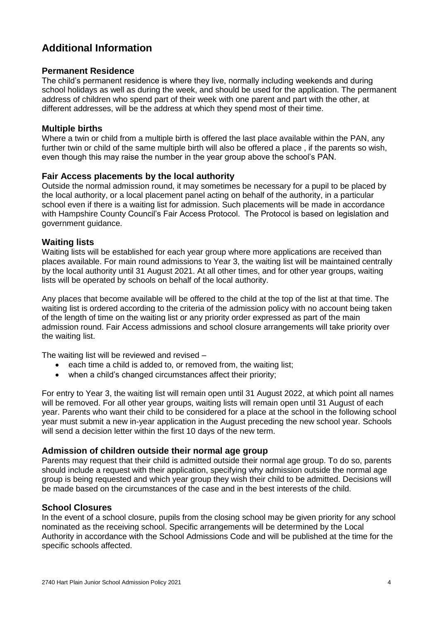## **Additional Information**

#### **Permanent Residence**

The child's permanent residence is where they live, normally including weekends and during school holidays as well as during the week, and should be used for the application. The permanent address of children who spend part of their week with one parent and part with the other, at different addresses, will be the address at which they spend most of their time.

#### **Multiple births**

Where a twin or child from a multiple birth is offered the last place available within the PAN, any further twin or child of the same multiple birth will also be offered a place , if the parents so wish, even though this may raise the number in the year group above the school's PAN.

#### **Fair Access placements by the local authority**

Outside the normal admission round, it may sometimes be necessary for a pupil to be placed by the local authority, or a local placement panel acting on behalf of the authority, in a particular school even if there is a waiting list for admission. Such placements will be made in accordance with Hampshire County Council's Fair Access Protocol. The Protocol is based on legislation and government guidance.

#### **Waiting lists**

Waiting lists will be established for each year group where more applications are received than places available. For main round admissions to Year 3, the waiting list will be maintained centrally by the local authority until 31 August 2021. At all other times, and for other year groups, waiting lists will be operated by schools on behalf of the local authority.

Any places that become available will be offered to the child at the top of the list at that time. The waiting list is ordered according to the criteria of the admission policy with no account being taken of the length of time on the waiting list or any priority order expressed as part of the main admission round. Fair Access admissions and school closure arrangements will take priority over the waiting list.

The waiting list will be reviewed and revised –

- each time a child is added to, or removed from, the waiting list;
- when a child's changed circumstances affect their priority;

For entry to Year 3, the waiting list will remain open until 31 August 2022, at which point all names will be removed. For all other year groups, waiting lists will remain open until 31 August of each year. Parents who want their child to be considered for a place at the school in the following school year must submit a new in-year application in the August preceding the new school year. Schools will send a decision letter within the first 10 days of the new term.

### **Admission of children outside their normal age group**

Parents may request that their child is admitted outside their normal age group. To do so, parents should include a request with their application, specifying why admission outside the normal age group is being requested and which year group they wish their child to be admitted. Decisions will be made based on the circumstances of the case and in the best interests of the child.

#### **School Closures**

In the event of a school closure, pupils from the closing school may be given priority for any school nominated as the receiving school. Specific arrangements will be determined by the Local Authority in accordance with the School Admissions Code and will be published at the time for the specific schools affected.